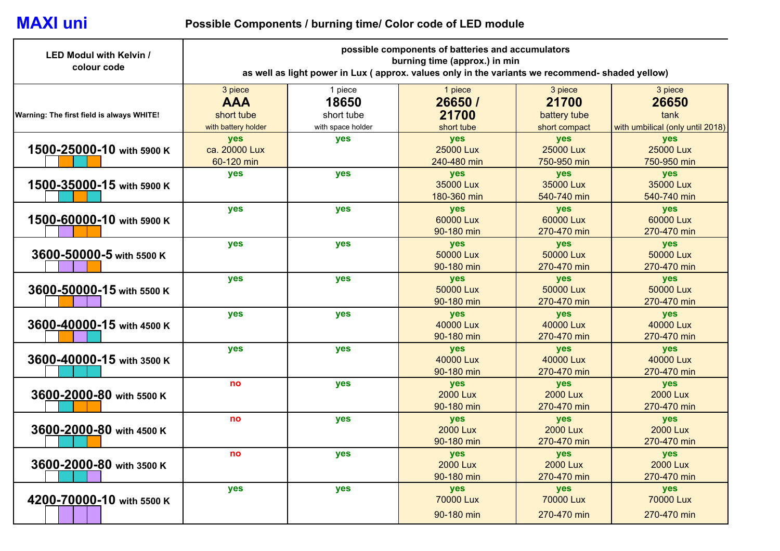## **MAXI uni**

## **Possible Components / burning time/ Color code of LED module**

| <b>LED Modul with Kelvin /</b><br>colour code | possible components of batteries and accumulators<br>burning time (approx.) in min<br>as well as light power in Lux (approx. values only in the variants we recommend- shaded yellow) |                                                     |                                           |                                                   |                                                              |  |
|-----------------------------------------------|---------------------------------------------------------------------------------------------------------------------------------------------------------------------------------------|-----------------------------------------------------|-------------------------------------------|---------------------------------------------------|--------------------------------------------------------------|--|
| Warning: The first field is always WHITE!     | 3 piece<br><b>AAA</b><br>short tube<br>with battery holder                                                                                                                            | 1 piece<br>18650<br>short tube<br>with space holder | 1 piece<br>26650 /<br>21700<br>short tube | 3 piece<br>21700<br>battery tube<br>short compact | 3 piece<br>26650<br>tank<br>with umbilical (only until 2018) |  |
| 1500-25000-10 with 5900 K                     | yes<br>ca. 20000 Lux<br>60-120 min                                                                                                                                                    | yes                                                 | yes<br>25000 Lux<br>240-480 min           | yes<br>25000 Lux<br>750-950 min                   | yes<br>25000 Lux<br>750-950 min                              |  |
| 1500-35000-15 with 5900 K                     | yes                                                                                                                                                                                   | yes                                                 | yes<br>35000 Lux<br>180-360 min           | yes<br>35000 Lux<br>540-740 min                   | yes<br>35000 Lux<br>540-740 min                              |  |
| 1500-60000-10 with 5900 K                     | yes                                                                                                                                                                                   | <b>yes</b>                                          | yes<br>60000 Lux<br>90-180 min            | yes<br>60000 Lux<br>270-470 min                   | yes<br>60000 Lux<br>270-470 min                              |  |
| 3600-50000-5 with 5500 K                      | yes                                                                                                                                                                                   | yes                                                 | yes<br>50000 Lux<br>90-180 min            | <b>yes</b><br>50000 Lux<br>270-470 min            | <b>yes</b><br>50000 Lux<br>270-470 min                       |  |
| 3600-50000-15 with 5500 K                     | yes                                                                                                                                                                                   | yes                                                 | yes<br>50000 Lux<br>90-180 min            | yes<br>50000 Lux<br>270-470 min                   | yes<br>50000 Lux<br>270-470 min                              |  |
| 3600-40000-15 with 4500 K                     | yes                                                                                                                                                                                   | yes                                                 | yes<br>40000 Lux<br>90-180 min            | <b>yes</b><br>40000 Lux<br>270-470 min            | yes<br>40000 Lux<br>270-470 min                              |  |
| 3600-40000-15 with 3500 K                     | yes                                                                                                                                                                                   | yes                                                 | yes<br>40000 Lux<br>90-180 min            | yes<br>40000 Lux<br>270-470 min                   | yes<br>40000 Lux<br>270-470 min                              |  |
| 3600-2000-80 with 5500 K                      | no                                                                                                                                                                                    | yes                                                 | yes<br><b>2000 Lux</b><br>90-180 min      | yes<br><b>2000 Lux</b><br>270-470 min             | yes<br><b>2000 Lux</b><br>270-470 min                        |  |
| 3600-2000-80 with 4500 K                      | no                                                                                                                                                                                    | yes                                                 | yes<br><b>2000 Lux</b><br>90-180 min      | yes<br><b>2000 Lux</b><br>270-470 min             | yes<br><b>2000 Lux</b><br>270-470 min                        |  |
| 3600-2000-80 with 3500 K                      | no                                                                                                                                                                                    | yes                                                 | yes<br><b>2000 Lux</b><br>90-180 min      | yes<br><b>2000 Lux</b><br>270-470 min             | yes<br><b>2000 Lux</b><br>270-470 min                        |  |
| 4200-70000-10 with 5500 K                     | yes                                                                                                                                                                                   | yes                                                 | yes<br><b>70000 Lux</b><br>90-180 min     | yes<br><b>70000 Lux</b><br>270-470 min            | yes<br>70000 Lux<br>270-470 min                              |  |